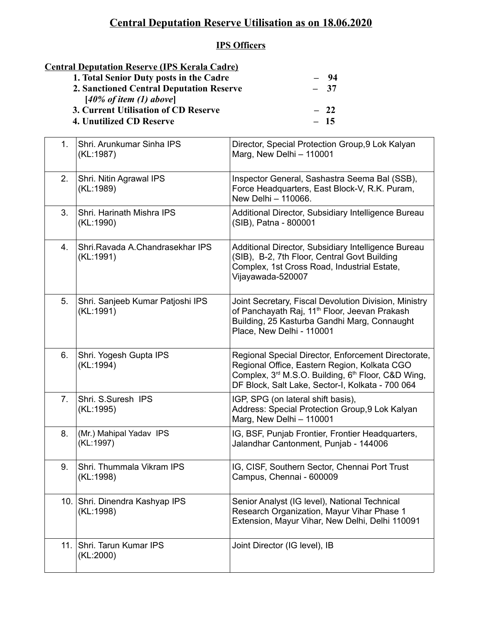## **Central Deputation Reserve Utilisation as on 18.06.2020**

## **IPS Officers**

## **Central Deputation Reserve (IPS Kerala Cadre)**

| $-94$ |
|-------|
| $-37$ |
|       |
| $-22$ |
| $-15$ |
|       |

| 1.  | Shri. Arunkumar Sinha IPS<br>(KL:1987)        | Director, Special Protection Group, 9 Lok Kalyan<br>Marg, New Delhi - 110001                                                                                                                                  |
|-----|-----------------------------------------------|---------------------------------------------------------------------------------------------------------------------------------------------------------------------------------------------------------------|
| 2.  | Shri. Nitin Agrawal IPS<br>(KL:1989)          | Inspector General, Sashastra Seema Bal (SSB),<br>Force Headquarters, East Block-V, R.K. Puram,<br>New Delhi - 110066.                                                                                         |
| 3.  | Shri. Harinath Mishra IPS<br>(KL:1990)        | Additional Director, Subsidiary Intelligence Bureau<br>(SIB), Patna - 800001                                                                                                                                  |
| 4.  | Shri, Ravada A.Chandrasekhar IPS<br>(KL:1991) | Additional Director, Subsidiary Intelligence Bureau<br>(SIB), B-2, 7th Floor, Central Govt Building<br>Complex, 1st Cross Road, Industrial Estate,<br>Vijayawada-520007                                       |
| 5.  | Shri. Sanjeeb Kumar Patjoshi IPS<br>(KL:1991) | Joint Secretary, Fiscal Devolution Division, Ministry<br>of Panchayath Raj, 11 <sup>th</sup> Floor, Jeevan Prakash<br>Building, 25 Kasturba Gandhi Marg, Connaught<br>Place, New Delhi - 110001               |
| 6.  | Shri. Yogesh Gupta IPS<br>(KL:1994)           | Regional Special Director, Enforcement Directorate,<br>Regional Office, Eastern Region, Kolkata CGO<br>Complex, 3rd M.S.O. Building, 6th Floor, C&D Wing,<br>DF Block, Salt Lake, Sector-I, Kolkata - 700 064 |
| 7.  | Shri. S.Suresh IPS<br>(KL:1995)               | IGP, SPG (on lateral shift basis),<br>Address: Special Protection Group, 9 Lok Kalyan<br>Marg, New Delhi - 110001                                                                                             |
| 8.  | (Mr.) Mahipal Yadav IPS<br>(KL:1997)          | IG, BSF, Punjab Frontier, Frontier Headquarters,<br>Jalandhar Cantonment, Punjab - 144006                                                                                                                     |
| 9.  | Shri. Thummala Vikram IPS<br>(KL:1998)        | IG, CISF, Southern Sector, Chennai Port Trust<br>Campus, Chennai - 600009                                                                                                                                     |
|     | 10. Shri. Dinendra Kashyap IPS<br>(KL:1998)   | Senior Analyst (IG level), National Technical<br>Research Organization, Mayur Vihar Phase 1<br>Extension, Mayur Vihar, New Delhi, Delhi 110091                                                                |
| 11. | Shri. Tarun Kumar IPS<br>(KL:2000)            | Joint Director (IG level), IB                                                                                                                                                                                 |